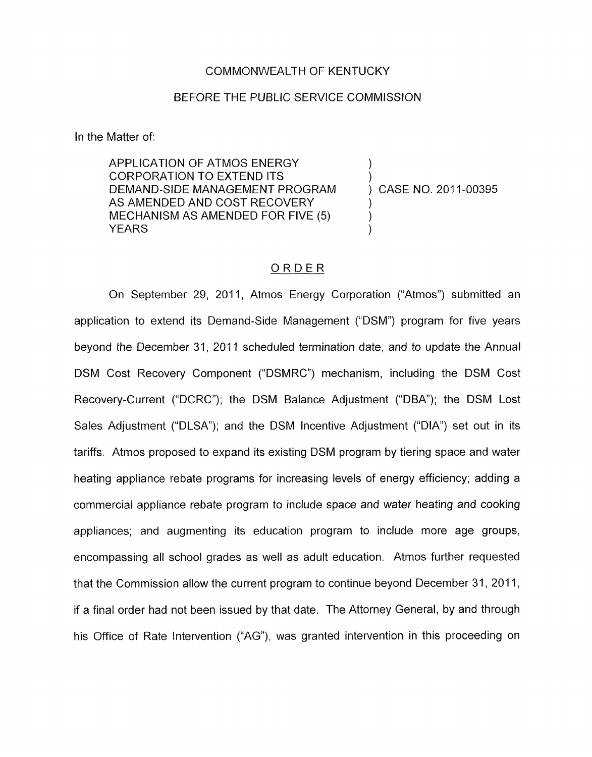## COMMONWEALTH OF KENTUCKY

## BEFORE THE PUBLIC SERVICE COMMISSION

In the Matter of:

APPLICATION OF ATMOS ENERGY<br>CORPORATION TO EXTEND ITS DEMAND-SIDE MANAGEMENT PROGRAM AS AMENDED AND COST RECOVERY MECHANISM AS AMENDED FOR FIVE (5)<br>YEARS YEARS )

) CASE NO. 2011-00395

# ORDER

On September 29, 2011, Atmos Energy Corporation ("Atmos") submitted an application to extend its Demand-Side Management ("DSM") program for five years beyond the December 31, 2011 scheduled termination date, and to update the Annual DSM Cost Recovery Component ("DSMRC") mechanism, including the DSM Cost Recovery-Current ("DCRC"); the DSM Balance Adjustment ("DBA"); the DSM Lost Sales Adjustment ("DLSA"); and the DSM Incentive Adjustment ("DIA") set out in its tariffs. Atmos proposed to expand its existing DSM program by tiering space and water heating appliance rebate programs for increasing levels of energy efficiency; adding a commercial appliance rebate program to include space and water heating and cooking appliances; and augmenting its education program to include more age groups, encompassing all school grades as well as adult education. Atmos further requested that the Commission allow the current program to continue beyond December 31, 2011, if a final order had not been issued by that date. The Attorney General, by and through his Office of Rate Intervention ("AG"), was granted intervention in this proceeding on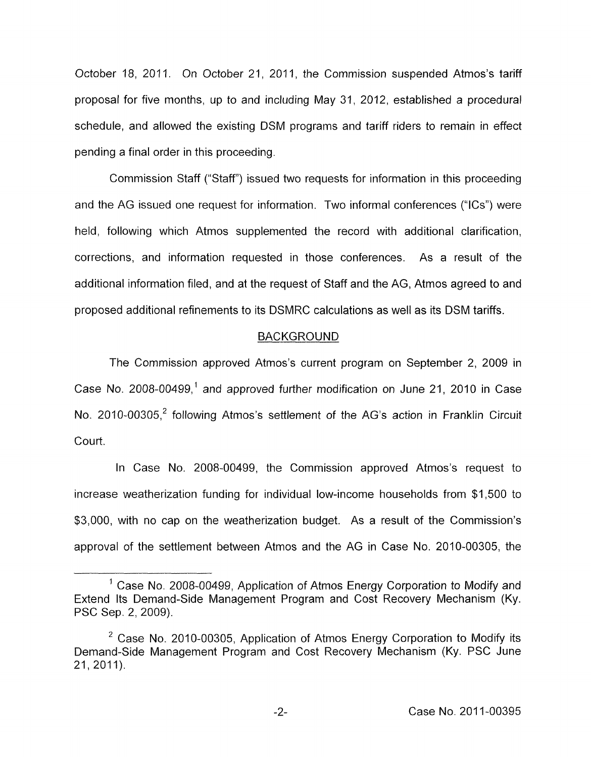October 18, 2011. On October 21, 2011, the Commission suspended Atmos's tariff proposal for five months, up to and including May 31, 2012, established a procedural schedule, and allowed the existing DSM programs and tariff riders to remain in effect pending a final order in this proceeding.

Commission Staff ("Staff') issued two requests for information in this proceeding and the AG issued one request for information. Two informal conferences ("ICs") were held, following which Atmos supplemented the record with additional clarification, corrections, and information requested in those conferences. As a result of the additional information filed, and at the request of Staff and the AG, Atmos agreed to and proposed additional refinements to its DSMRC calculations as well as its DSM tariffs.

# BACKGROUND

The Commission approved Atmos's current program on September 2, 2009 in Case No. 2008-00499,' and approved further modification on June 21, 2010 in Case No. 2010-00305,<sup>2</sup> following Atmos's settlement of the AG's action in Franklin Circuit court.

In Case No. 2008-00499, the Commission approved Atmos's request to increase weatherization funding for individual low-income households from \$1,500 to \$3,000, with no cap on the weatherization budget. As a result of the Commission's approval of the settlement between Atmos and the AG in Case No. 2010-00305, the

<sup>&</sup>lt;sup>1</sup> Case No. 2008-00499, Application of Atmos Energy Corporation to Modify and Extend Its Demand-Side Management Program and Cost Recovery Mechanism (Ky. PSC Sep. 2, 2009).

<sup>&</sup>lt;sup>2</sup> Case No. 2010-00305, Application of Atmos Energy Corporation to Modify its Demand-Side Management Program and Cost Recovery Mechanism (Ky. PSC June 21, 2011).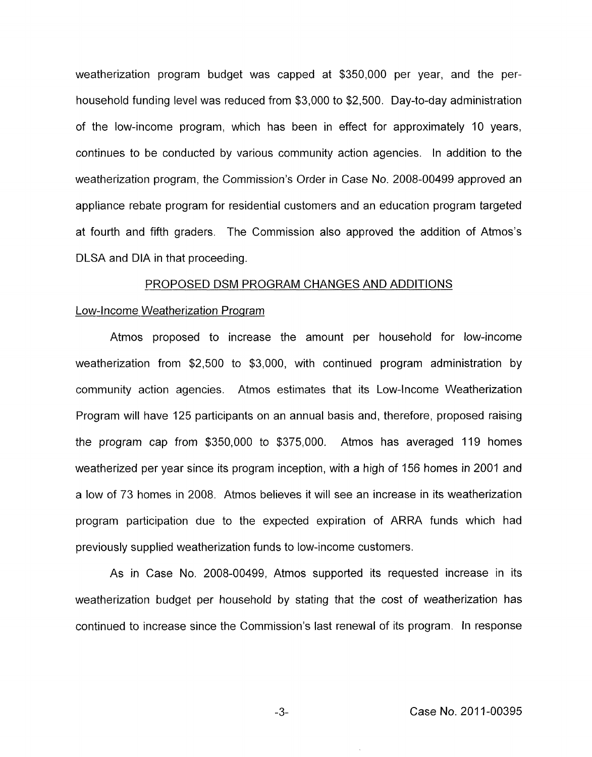<span id="page-2-0"></span>weatherization program budget was capped at \$350,000 per year, and the perhousehold funding level was reduced from \$3,000 to \$2,500. Day-to-day administration of the low-income program, which has been in effect for approximately 10 years, continues to be conducted by various community action agencies. In addition to the weatherization program, the Commission's Order in Case No. 2008-00499 approved an appliance rebate program for residential customers and an education program targeted at fourth and fifth graders. The Commission also approved the addition of Atmos's DLSA and DIA in that proceeding.

#### PROPOSED DSM PROGRAM CHANGES AND ADDITIONS

# Low-Income Weatherization Program

Atmos proposed to increase the amount per household for low-income weatherization from \$2,500 to \$3,000, with continued program administration by community action agencies. Atmos estimates that its Low-Income Weatherization Program will have 125 participants on an annual basis and, therefore, proposed raising the program cap from \$350,000 to \$375,000. Atmos has averaged 119 homes weatherized per year since its program inception, with a high of 156 homes in 2001 and a low of 73 homes in 2008. Atmos believes it will see an increase in its weatherization program participation due to the expected expiration of ARRA funds which had previously supplied weatherization funds to low-income customers.

As in Case No. 2008-00499, Atmos supported its requested increase in its weatherization budget per household by stating that the cost of weatherization has continued to increase since the Commission's last renewal of its program. In response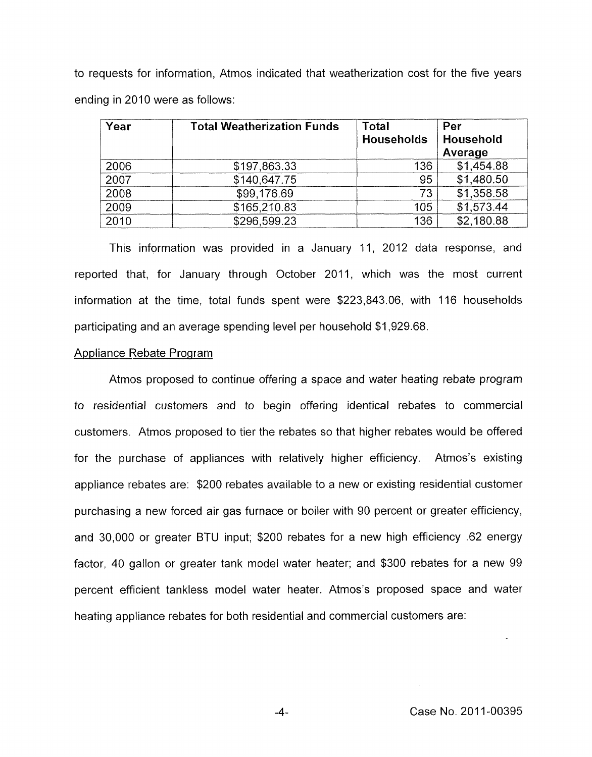to requests for information, Atmos indicated that weatherization cost for the five years ending in 2010 were as follows:

| Year | <b>Total Weatherization Funds</b> | <b>Total</b><br><b>Households</b> | Per<br>Household<br>Average |
|------|-----------------------------------|-----------------------------------|-----------------------------|
| 2006 | \$197,863.33                      | 136                               | \$1,454.88                  |
| 2007 | \$140,647.75                      | 95                                | \$1,480.50                  |
| 2008 | \$99,176.69                       | 73                                | \$1,358.58                  |
| 2009 | \$165,210.83                      | 105                               | \$1,573.44                  |
| 2010 | \$296,599.23                      | 136                               | \$2,180.88                  |

This information was provided in a January 11, 2012 data response, and reported that, for January through October 2011, which was the most current information at the time, total funds spent were \$223,843.06, with 116 households participating and an average spending level per household \$1,929.68.

# Appliance Rebate Program

Atmos proposed to continue offering a space and water heating rebate program to residential customers and to begin offering identical rebates to commercial customers. Atmos proposed to tier the rebates so that higher rebates would be offered for the purchase of appliances with relatively higher efficiency. Atmos's existing appliance rebates are: \$200 rebates available to a new or existing residential customer purchasing a new forced air gas furnace or boiler with 90 percent or greater efficiency, and 30,000 or greater BTU input; \$200 rebates for a new high efficiency .62 energy factor, 40 gallon or greater tank model water heater; and \$300 rebates for a new 99 percent efficient tankless model water heater. Atmos's proposed space and water heating appliance rebates for both residential and commercial customers are:

-4-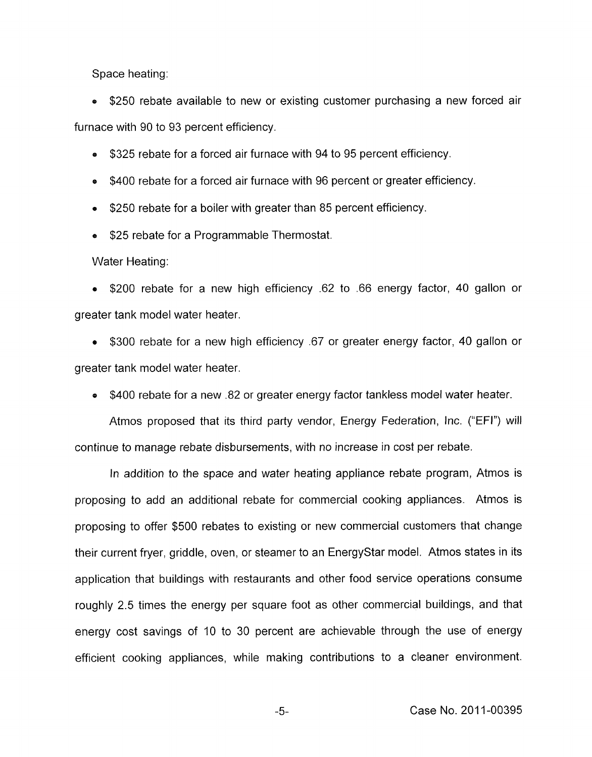Space heating:

**<sup>a</sup>**\$250 rebate available to new or existing customer purchasing a new forced air furnace with 90 to 93 percent efficiency.

- \$325 rebate for a forced air furnace with 94 to 95 percent efficiency.
- \$400 rebate for a forced air furnace with 96 percent or greater efficiency.
- \$250 rebate for a boiler with greater than 85 percent efficiency.
- \$25 rebate for a Programmable Thermostat.

Water Heating:

**<sup>a</sup>**\$200 rebate for a new high efficiency .62 to .66 energy factor, 40 gallon or greater tank model water heater.

**<sup>a</sup>**\$300 rebate for a new high efficiency "67 or greater energy factor, 40 gallon or greater tank model water heater.

**e** \$400 rebate for a new .82 or greater energy factor tankless model water heater.

Atmos proposed that its third party vendor, Energy Federation, Inc. ("EFI") will continue to manage rebate disbursements, with no increase in cost per rebate.

In addition to the space and water heating appliance rebate program, Atmos is proposing to add an additional rebate for commercial cooking appliances. Atmos is proposing to offer \$500 rebates to existing or new commercial customers that change their current fryer, griddle, oven, or steamer to an EnergyStar model. Atmos states in its application that buildings with restaurants and other food service operations consume roughly 2.5 times the energy per square foot as other commercial buildings, and that energy cost savings of 10 to 30 percent are achievable through the use of energy efficient cooking appliances, while making contributions to a cleaner environment.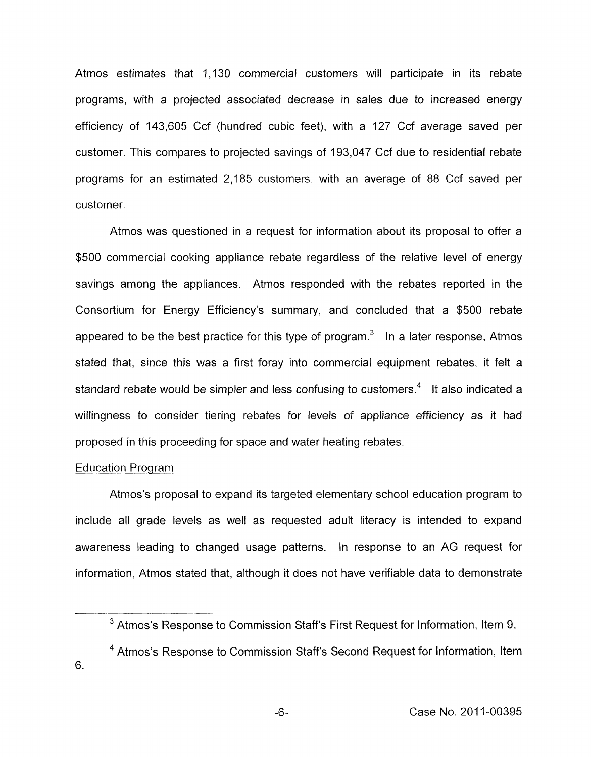Atmos estimates that 1,130 commercial customers will participate in its rebate programs, with a projected associated decrease in sales due to increased energy efficiency of 143,605 Ccf (hundred cubic feet), with a 127 Ccf average saved per customer. This compares to projected savings of 193,047 Ccf due to residential rebate programs for an estimated 2,185 customers, with an average of 88 Ccf saved per customer.

Atmos was questioned in a request for information about its proposal to offer a \$500 commercial cooking appliance rebate regardless of the relative level of energy savings among the appliances. Atmos responded with the rebates reported in the Consortium for Energy Efficiency's summary, and concluded that a \$500 rebate appeared to be the best practice for this type of program. $3$  In a later response, Atmos stated that, since this was a first foray into commercial equipment rebates, it felt a standard rebate would be simpler and less confusing to customers. $4$  It also indicated a willingness to consider tiering rebates for levels of appliance efficiency as it had proposed in this proceeding for space and water heating rebates.

# Education Program

Atmos's proposal to expand its targeted elementary school education program to include all grade levels as well as requested adult literacy is intended to expand awareness leading to changed usage patterns. In response to an AG request for information, Atmos stated that, although it does not have verifiable data to demonstrate

 $3$  Atmos's Response to Commission Staff's First Request for Information, Item 9.

<sup>&</sup>lt;sup>4</sup> Atmos's Response to Commission Staff's Second Request for Information, Item *6.*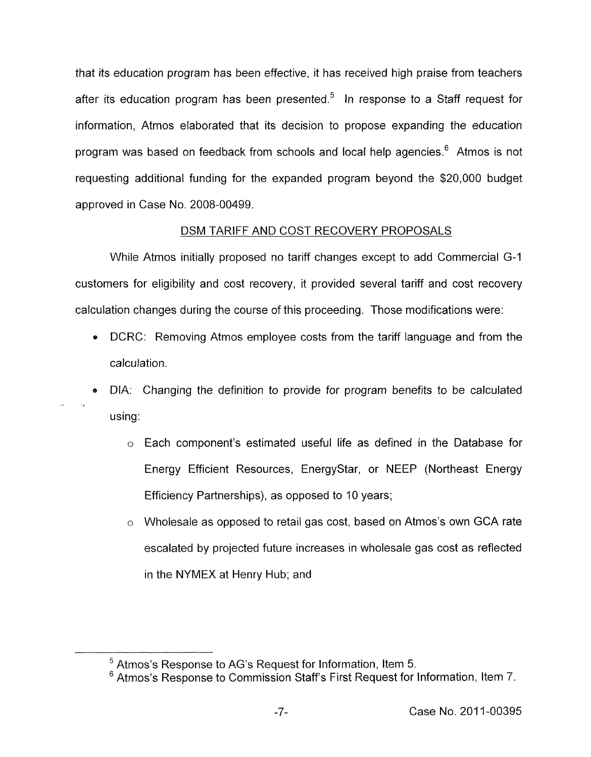that its education program has been effective, it has received high praise from teachers after its education program has been presented.<sup>5</sup> In response to a Staff request for information, Atmos elaborated that its decision to propose expanding the education program was based on feedback from schools and local help agencies.<sup>6</sup> Atmos is not requesting additional funding for the expanded program beyond the \$20,000 budget approved in Case No. 2008-00499.

# DSM TARIFF AND COST RECOVERY PROPOSALS

While Atmos initially proposed no tariff changes except to add Commercial G-1 customers for eligibility and cost recovery, it provided several tariff and cost recovery calculation changes during the course of this proceeding. Those modifications were:

- DCRC: Removing Atmos employee costs from the tariff language and from the calculation.
- DIA: Changing the definition to provide for program benefits to be calculated using:

 $\sim$ 

- o Each component's estimated useful life as defined in the Database for Energy Efficient Resources, EnergyStar, or NEEP (Northeast Energy Efficiency Partnerships), as opposed to 10 years;
- *o* Wholesale as opposed to retail gas cost, based on Atmos's own GCA rate escalated by projected future increases in wholesale gas cost as reflected in the NYMEX at Henry Hub; and

Atmos's Response to AG's Request for Information, Item 5.

Atmos's Response to Commission Staff's First Request for Information, Item 7.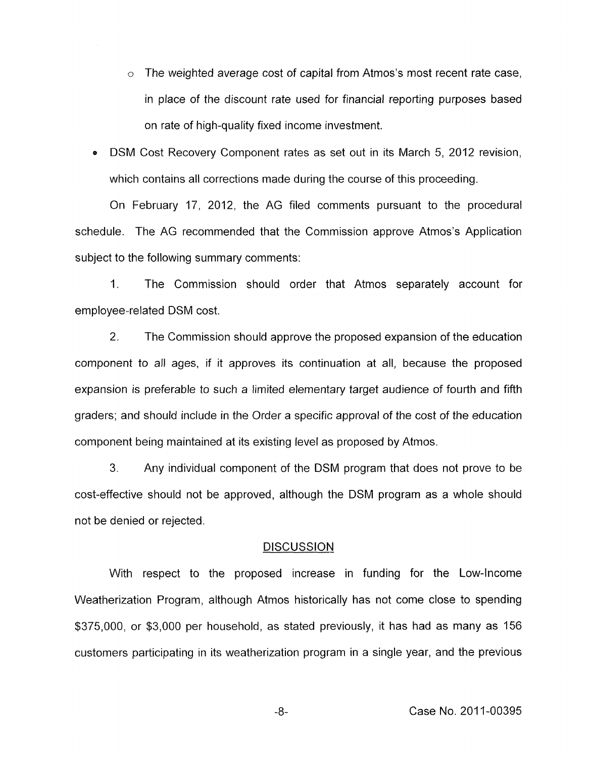- o The weighted average cost of capital from Atmos's most recent rate case, in place of the discount rate used for financial reporting purposes based on rate of high-quality fixed income investment.
- **e** DSM Cost Recovery Component rates as set out in its March 5, 2012 revision, which contains all corrections made during the course of this proceeding.

On February 17, 2012, the AG filed comments pursuant to the procedural schedule. The AG recommended that the Commission approve Atmos's Application subject to the following summary comments:

1. The Commission should order that Atmos separately account for employee- related DSM cost.

2. The Commission should approve the proposed expansion of the education component to all ages, if it approves its continuation at all, because the proposed expansion is preferable to such a limited elementary target audience of fourth and fifth graders; and should include in the Order a specific approval of the cost of the education component being maintained at its existing level as proposed by Atmos.

3. Any individual component of the DSM program that does not prove to be cost-effective should not be approved, although the DSM program as a whole should not be denied or rejected.

# **DISCUSSION**

With respect to the proposed increase in funding for the Low-Income Weatherization Program, although Atmos historically has not come close to spending \$375,000, or \$3,000 per household, as stated previously, it has had as many as 156 customers participating in its weatherization program in a single year, and the previous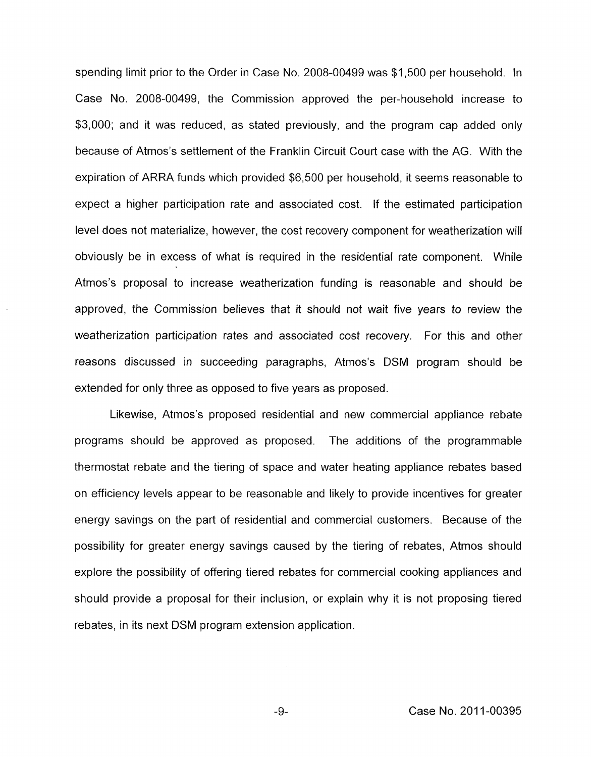spending limit prior to the Order in Case No. 2008-00499 was \$1,500 per household. In Case No. 2008-00499, the Commission approved the per-household increase to \$3,000; and it was reduced, as stated previously, and the program cap added only because of Atmos's settlement of the Franklin Circuit Court case with the AG. With the expiration of ARRA funds which provided \$6,500 per household, it seems reasonable to expect a higher participation rate and associated cost. If the estimated participation level does not materialize, however, the cost recovery component for weatherization will obviously be in excess of what is required in the residential rate component. While Atmos's proposal to increase weatherization funding is reasonable and should be approved, the Commission believes that it should not wait five years to review the weatherization participation rates and associated cost recovery. For this and other reasons discussed in succeeding paragraphs, Atmos's DSM program should be extended for only three as opposed to five years as proposed.

Likewise, Atmos's proposed residential and new commercial appliance rebate programs should be approved as proposed. The additions of the programmable thermostat rebate and the tiering of space and water heating appliance rebates based on efficiency levels appear to be reasonable and likely to provide incentives for greater energy savings on the part of residential and commercial customers. Because of the possibility for greater energy savings caused by the tiering of rebates, Atmos should explore the possibility of offering tiered rebates for commercial cooking appliances and should provide a proposal for their inclusion, or explain why it is not proposing tiered rebates, in its next DSM program extension application.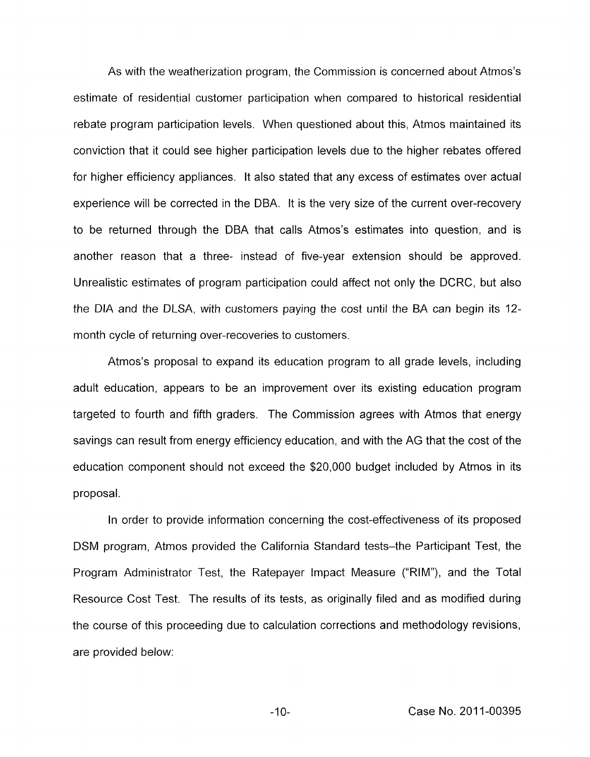As with the weatherization program, the Commission is concerned about Atmos's estimate of residential customer participation when compared to historical residential rebate program participation levels. When questioned about this, Atmos maintained its conviction that it could see higher participation levels due to the higher rebates offered for higher efficiency appliances. It also stated that any excess of estimates over actual experience will be corrected in the DBA. It is the very size of the current over-recovery to be returned through the DBA that calls Atmos's estimates into question, and is another reason that a three- instead of five-year extension should be approved. Unrealistic estimates of program participation could affect not only the DCRC, but also the DIA and the DLSA, with customers paying the cost until the BA can begin its 12 month cycle of returning over-recoveries to customers.

Atmos's proposal to expand its education program to all grade levels, including adult education, appears to be an improvement over its existing education program targeted to fourth and fifth graders. The Commission agrees with Atmos that energy savings can result from energy efficiency education, and with the AG that the cost of the education component should not exceed the \$20,000 budget included by Atmos in its proposal.

In order to provide information concerning the cost-effectiveness of its proposed **DSM** program, Atmos provided the California Standard tests-the Participant Test, the Program Administrator Test, the Ratepayer Impact Measure ("RIM"), and the Total Resource Cost Test. The results of its tests, as originally filed and as modified during the course of this proceeding due to calculation corrections and methodology revisions, are provided below:

-10- Case No. 2011-00395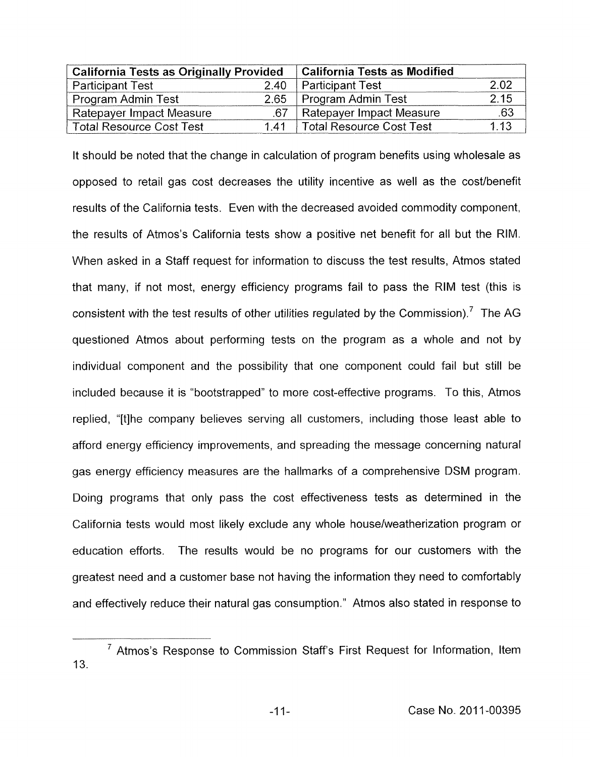<span id="page-10-0"></span>

| <b>California Tests as Originally Provided</b> |      | <b>California Tests as Modified</b> |      |
|------------------------------------------------|------|-------------------------------------|------|
| <b>Participant Test</b>                        | 2.40 | Participant Test                    | 2.02 |
| Program Admin Test                             | 2.65 | Program Admin Test                  | 2.15 |
| Ratepayer Impact Measure                       | .67  | <b>Ratepayer Impact Measure</b>     | .63  |
| <b>Total Resource Cost Test</b>                |      | 1.41   Total Resource Cost Test     | 1.13 |

It should be noted that the change in calculation of program benefits using wholesale as opposed to retail gas cost decreases the utility incentive as well as the cost/benefit results of the California tests. Even with the decreased avoided commodity component, the results of Atmos's California tests show a positive net benefit for all but the RIM. When asked in a Staff request for information to discuss the test results, Atmos stated that many, if not most, energy efficiency programs fail to pass the RIM test (this is consistent with the test results of other utilities regulated by the Commission).<sup>7</sup> The AG questioned Atmos about performing tests on the program as a whole and not by individual component and the possibility that one component could fail but still be included because it is "bootstrapped" to more cost-effective programs. To this, Atmos replied, "[tlhe company believes serving all customers, including those least able to afford energy efficiency improvements, and spreading the message concerning natural gas energy efficiency measures are the hallmarks of a comprehensive DSM program. Doing programs that only pass the cost effectiveness tests as determined in the California tests would most likely exclude any whole houselweatherization program or education efforts. The results would be no programs for our customers with the greatest need and a customer base not having the information they need to comfortably and effectively reduce their natural gas consumption." Atmos also stated in response to

 $7$  Atmos's Response to Commission Staff's First Request for Information, Item 13.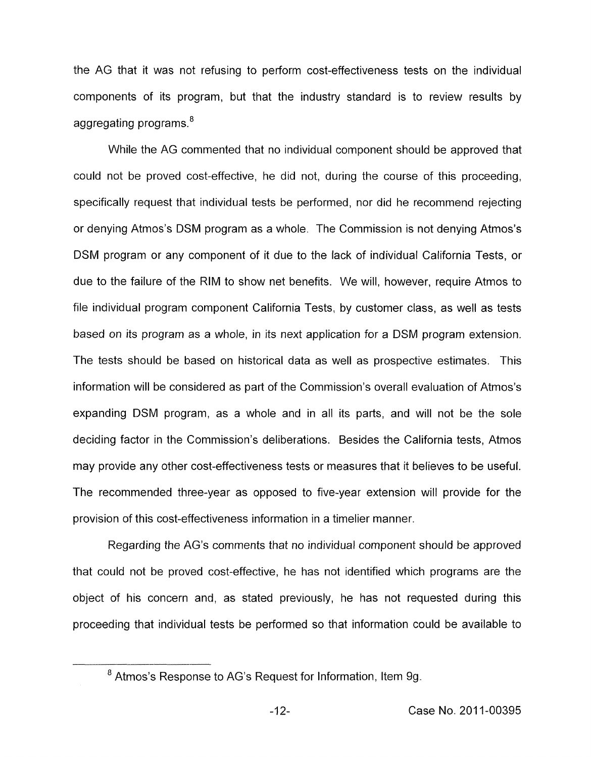the AG that it was not refusing to perform cost-effectiveness tests on the individual components of its program, but that the industry standard is to review results by aggregating programs.<sup>8</sup>

While the AG commented that no individual component should be approved that could not be proved cost-effective, he did not, during the course of this proceeding, specifically request that individual tests be performed, nor did he recommend rejecting or denying Atmos's DSM program as a whole. The Commission is not denying Atmos's DSM program or any component of it due to the lack of individual California Tests, or due to the failure of the RIM to show net benefits. We will, however, require Atmos to file individual program component California Tests, by customer class, as well as tests based on its program as a whole, in its next application for a DSM program extension. The tests should be based on historical data as well as prospective estimates. This information will be considered as part of the Commission's overall evaluation of Atmos's expanding DSM program, as a whole and in all its parts, and will not be the sole deciding factor in the Commission's deliberations. Besides the California tests, Atmos may provide any other cost-effectiveness tests or measures that it believes to be useful. The recommended three-year as opposed to five-year extension will provide for the provision of this cost-effectiveness information in a timelier manner.

Regarding the AG's comments that no individual component should be approved that could not be proved cost-effective, he has not identified which programs are the object of his concern and, as stated previously, he has not requested during this proceeding that individual tests be performed so that information could be available to

<sup>&</sup>lt;sup>8</sup> Atmos's Response to AG's Request for Information, Item 9g.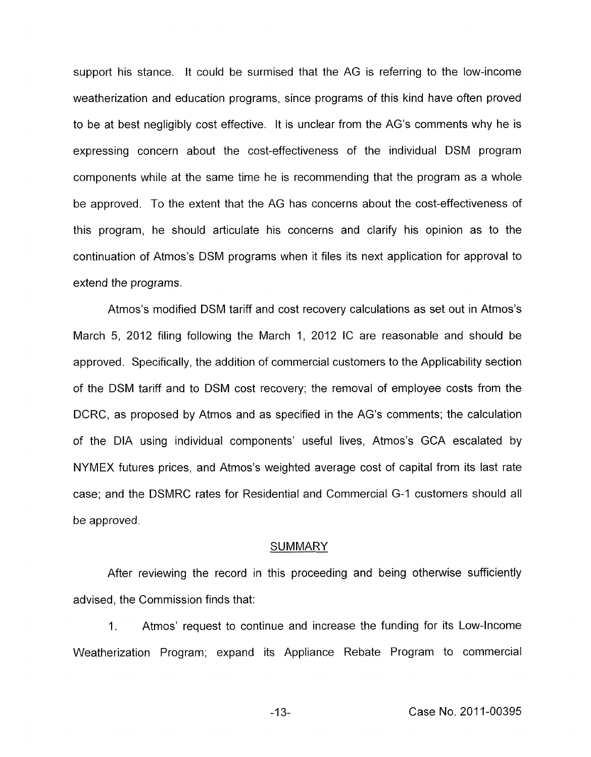support his stance. It could be surmised that the AG is referring to the low-income weatherization and education programs, since programs of this kind have often proved to be at best negligibly cost effective. It is unclear from the AG's comments why he is expressing concern about the cost-effectiveness of the individual DSM program components while at the same time he is recommending that the program as a whole be approved. To the extent that the AG has concerns about the cost-effectiveness of this program, he should articulate his concerns and clarify his opinion as to the continuation of Atmos's DSM programs when it files its next application for approval to extend the programs.

Atmos's modified DSM tariff and cost recovery calculations as set out in Atmos's March 5, 2012 filing following the March 1, 2012 IC are reasonable and should be approved. Specifically, the addition of commercial customers to the Applicability section of the DSM tariff and to DSM cost recovery; the removal of employee costs from the DCRC, as proposed by Atmos and as specified in the AG's comments; the calculation of the DIA using individual components' useful lives, Atmos's GCA escalated by NYMEX futures prices, and Atmos's weighted average cost of capital from its last rate case; and the DSMRC rates for Residential and Commercial G-I customers should all be approved.

#### **SUMMARY**

After reviewing the record in this proceeding and being otherwise sufficiently advised, the Commission finds that:

I. Atmos' request to continue and increase the funding for its Low-Income Weatherization Program; expand its Appliance Rebate Program to commercial

-1 **3-** Case No. 201 1-00395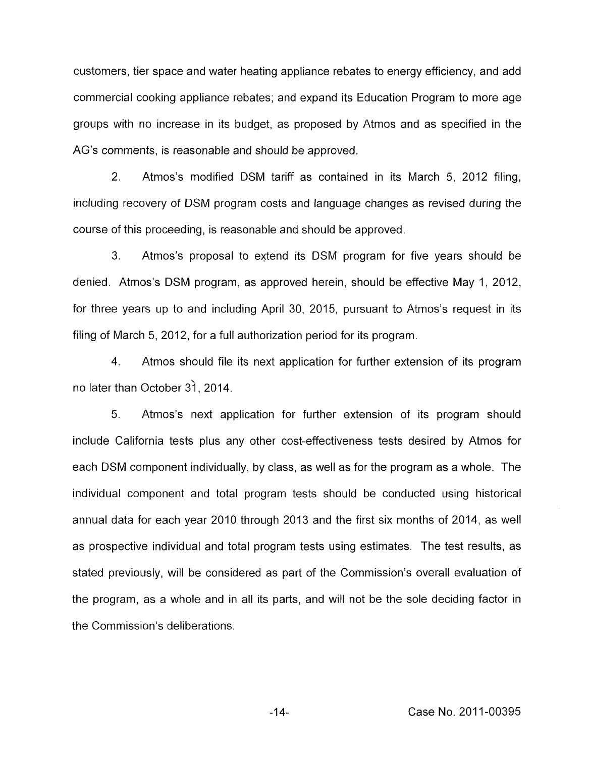customers, tier space and water heating appliance rebates to energy efficiency, and add commercial cooking appliance rebates; and expand its Education Program to more age groups with no increase in its budget, as proposed by Atmos and as specified in the AG's comments, is reasonable and should be approved.

2. Atmos's modified DSM tariff as contained in its March 5, 2012 filing, including recovery of DSM program costs and language changes as revised during the course of this proceeding, is reasonable and should be approved.

**3.** Atmos's proposal to extend its DSM program for five years should be denied. Atmos's DSM program, as approved herein, should be effective May 1, 2012, for three years up to and including April 30, 2015, pursuant to Atmos's request in its filing of March *5,* 2012, for a full authorization period for its program.

4. Atmos should file its next application for further extension of its program no later than October *3)* , 2014.

5. Atmas's next application for further extension of its program should include California tests plus any other cost-effectiveness tests desired by Atmos for each DSM component individually, by class, as well as for the program as a whole. The individual component and total program tests should be conducted using historical annual data for each year 2010 through 2013 and the first six months of 2014, as well as prospective individual and total program tests using estimates. The test results, as stated previously, will be considered as part of the Commission's overall evaluation of the program, as a whole and in all its parts, and will not be the sole deciding factor in the Commission's deliberations.

-14- Case No. 2011-00395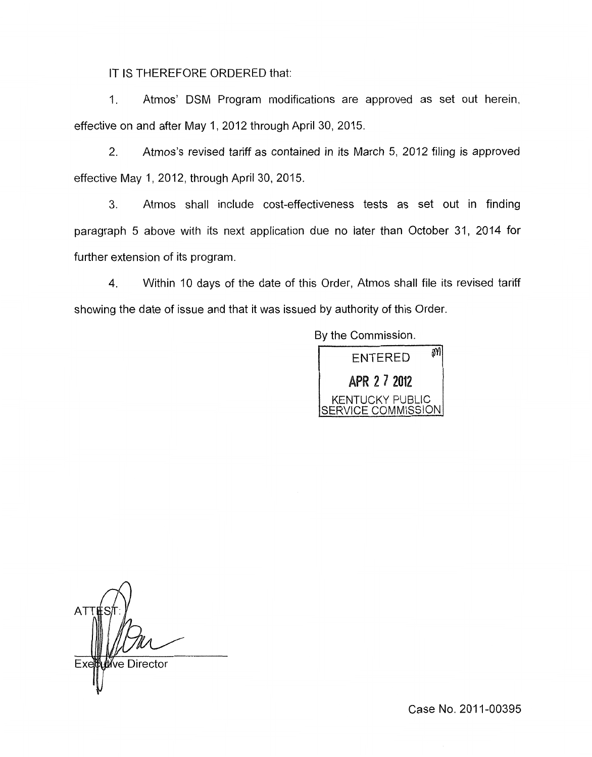IT IS THEREFORE ORDERED that:

1. Atmos' DSM Program modifications are approved as set out herein, [effective on and after May 1,](#page-10-0) 2012 through April 30, 2015.

2. Atmos's revised tariff as contained in its March 5, 2012 filing is approved [effective May 1,](#page-10-0) 2012, through April 30, 2015.

3. Atmos shall include cost-effectiveness tests as set out in finding paragraph 5 above with its next application due no later than October 31, 2014 for further extension of its program.

4. Within 10 days of the date of this Order, Atmos shall file its revised tariff showing the date of issue and that it was issued by authority of this Order.

> By the Commission. M **ENTERED** APR 2 7 2012 KENTUCKY PUBLIC ERVICE COMMISSION

**ATT** ่<br>We Director

Case No. 2011-00395